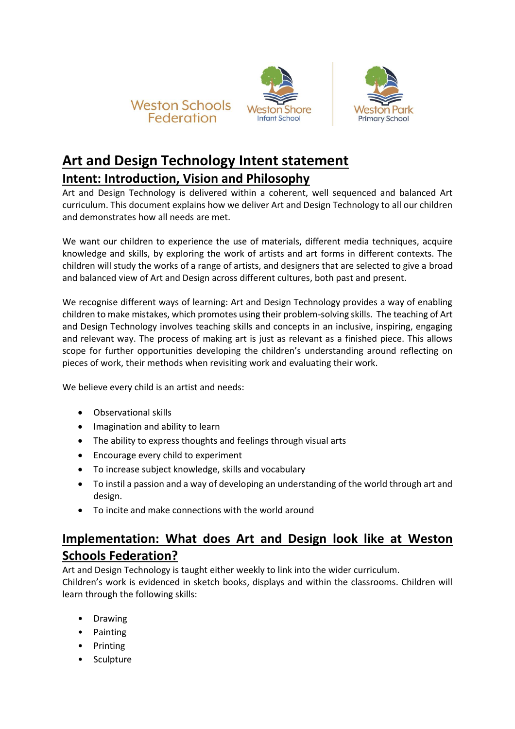





## **Art and Design Technology Intent statement Intent: Introduction, Vision and Philosophy**

Art and Design Technology is delivered within a coherent, well sequenced and balanced Art curriculum. This document explains how we deliver Art and Design Technology to all our children and demonstrates how all needs are met.

We want our children to experience the use of materials, different media techniques, acquire knowledge and skills, by exploring the work of artists and art forms in different contexts. The children will study the works of a range of artists, and designers that are selected to give a broad and balanced view of Art and Design across different cultures, both past and present.

We recognise different ways of learning: Art and Design Technology provides a way of enabling children to make mistakes, which promotes using their problem-solving skills. The teaching of Art and Design Technology involves teaching skills and concepts in an inclusive, inspiring, engaging and relevant way. The process of making art is just as relevant as a finished piece. This allows scope for further opportunities developing the children's understanding around reflecting on pieces of work, their methods when revisiting work and evaluating their work.

We believe every child is an artist and needs:

- Observational skills
- Imagination and ability to learn
- The ability to express thoughts and feelings through visual arts
- Encourage every child to experiment
- To increase subject knowledge, skills and vocabulary
- To instil a passion and a way of developing an understanding of the world through art and design.
- To incite and make connections with the world around

## **Implementation: What does Art and Design look like at Weston Schools Federation?**

Art and Design Technology is taught either weekly to link into the wider curriculum.

Children's work is evidenced in sketch books, displays and within the classrooms. Children will learn through the following skills:

- Drawing
- Painting
- Printing
- **Sculpture**